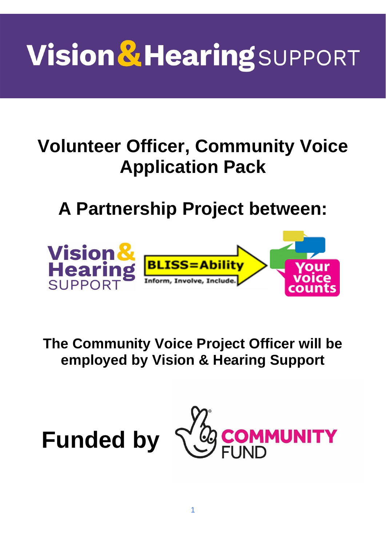# **Vision & Hearing SUPPORT**

## **Volunteer Officer, Community Voice Application Pack**

**A Partnership Project between:** 



**The Community Voice Project Officer will be employed by Vision & Hearing Support**



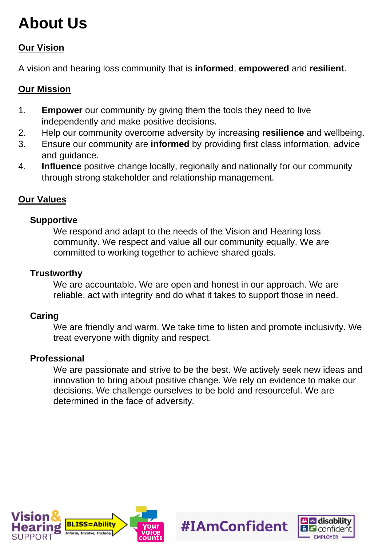### **About Us**

#### **Our Vision**

A vision and hearing loss community that is **informed**, **empowered** and **resilient**.

#### **Our Mission**

- 1. **Empower** our community by giving them the tools they need to live independently and make positive decisions.
- 2. Help our community overcome adversity by increasing **resilience** and wellbeing.
- 3. Ensure our community are **informed** by providing first class information, advice and guidance.
- 4. **Influence** positive change locally, regionally and nationally for our community through strong stakeholder and relationship management.

#### **Our Values**

#### **Supportive**

We respond and adapt to the needs of the Vision and Hearing loss community. We respect and value all our community equally. We are committed to working together to achieve shared goals.

#### **Trustworthy**

We are accountable. We are open and honest in our approach. We are reliable, act with integrity and do what it takes to support those in need.

#### **Caring**

We are friendly and warm. We take time to listen and promote inclusivity. We treat everyone with dignity and respect.

#### **Professional**

We are passionate and strive to be the best. We actively seek new ideas and innovation to bring about positive change. We rely on evidence to make our decisions. We challenge ourselves to be bold and resourceful. We are determined in the face of adversity*.* 

#IAmConfident



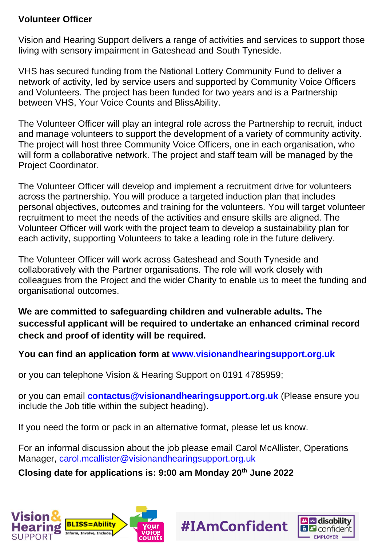#### **Volunteer Officer**

Vision and Hearing Support delivers a range of activities and services to support those living with sensory impairment in Gateshead and South Tyneside.

VHS has secured funding from the National Lottery Community Fund to deliver a network of activity, led by service users and supported by Community Voice Officers and Volunteers. The project has been funded for two years and is a Partnership between VHS, Your Voice Counts and BlissAbility.

The Volunteer Officer will play an integral role across the Partnership to recruit, induct and manage volunteers to support the development of a variety of community activity. The project will host three Community Voice Officers, one in each organisation, who will form a collaborative network. The project and staff team will be managed by the Project Coordinator.

The Volunteer Officer will develop and implement a recruitment drive for volunteers across the partnership. You will produce a targeted induction plan that includes personal objectives, outcomes and training for the volunteers. You will target volunteer recruitment to meet the needs of the activities and ensure skills are aligned. The Volunteer Officer will work with the project team to develop a sustainability plan for each activity, supporting Volunteers to take a leading role in the future delivery.

The Volunteer Officer will work across Gateshead and South Tyneside and collaboratively with the Partner organisations. The role will work closely with colleagues from the Project and the wider Charity to enable us to meet the funding and organisational outcomes.

**We are committed to safeguarding children and vulnerable adults. The successful applicant will be required to undertake an enhanced criminal record check and proof of identity will be required.**

**You can find an application form at [www.visionandhearingsupport.org.uk](http://www.visionandhearingsupport.org.uk/)**

or you can telephone Vision & Hearing Support on 0191 4785959;

or you can email **[contactus@visionandhearingsupport.org.uk](mailto:contactus@visionandhearingsupport.org.uk)** (Please ensure you include the Job title within the subject heading).

If you need the form or pack in an alternative format, please let us know.

For an informal discussion about the job please email Carol McAllister, Operations Manager, [carol.mcallister@visionandhearingsupport.org.uk](mailto:carol.mcallister@visionandhearingsupport.org.uk)

#IAmConfident

#### **Closing date for applications is: 9:00 am Monday 20th June 2022**



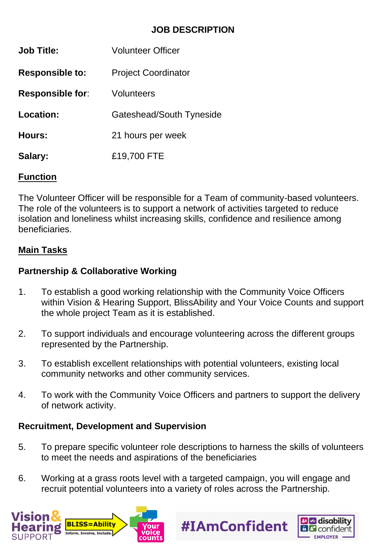#### **JOB DESCRIPTION**

| <b>Job Title:</b>       | <b>Volunteer Officer</b>   |
|-------------------------|----------------------------|
| <b>Responsible to:</b>  | <b>Project Coordinator</b> |
| <b>Responsible for:</b> | Volunteers                 |
| Location:               | Gateshead/South Tyneside   |
| <b>Hours:</b>           | 21 hours per week          |
| Salary:                 | £19,700 FTE                |
|                         |                            |

#### **Function**

The Volunteer Officer will be responsible for a Team of community-based volunteers. The role of the volunteers is to support a network of activities targeted to reduce isolation and loneliness whilst increasing skills, confidence and resilience among beneficiaries.

#### **Main Tasks**

#### **Partnership & Collaborative Working**

- 1. To establish a good working relationship with the Community Voice Officers within Vision & Hearing Support, BlissAbility and Your Voice Counts and support the whole project Team as it is established.
- 2. To support individuals and encourage volunteering across the different groups represented by the Partnership.
- 3. To establish excellent relationships with potential volunteers, existing local community networks and other community services.
- 4. To work with the Community Voice Officers and partners to support the delivery of network activity.

#### **Recruitment, Development and Supervision**

5. To prepare specific volunteer role descriptions to harness the skills of volunteers to meet the needs and aspirations of the beneficiaries

#IAmConfident

6. Working at a grass roots level with a targeted campaign, you will engage and recruit potential volunteers into a variety of roles across the Partnership.



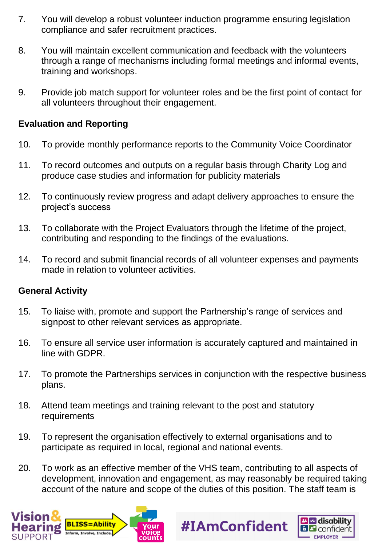- 7. You will develop a robust volunteer induction programme ensuring legislation compliance and safer recruitment practices.
- 8. You will maintain excellent communication and feedback with the volunteers through a range of mechanisms including formal meetings and informal events, training and workshops.
- 9. Provide job match support for volunteer roles and be the first point of contact for all volunteers throughout their engagement.

#### **Evaluation and Reporting**

- 10. To provide monthly performance reports to the Community Voice Coordinator
- 11. To record outcomes and outputs on a regular basis through Charity Log and produce case studies and information for publicity materials
- 12. To continuously review progress and adapt delivery approaches to ensure the project's success
- 13. To collaborate with the Project Evaluators through the lifetime of the project, contributing and responding to the findings of the evaluations.
- 14. To record and submit financial records of all volunteer expenses and payments made in relation to volunteer activities.

#### **General Activity**

- 15. To liaise with, promote and support the Partnership's range of services and signpost to other relevant services as appropriate.
- 16. To ensure all service user information is accurately captured and maintained in line with GDPR.
- 17. To promote the Partnerships services in conjunction with the respective business plans.
- 18. Attend team meetings and training relevant to the post and statutory requirements
- 19. To represent the organisation effectively to external organisations and to participate as required in local, regional and national events.
- 20. To work as an effective member of the VHS team, contributing to all aspects of development, innovation and engagement, as may reasonably be required taking account of the nature and scope of the duties of this position. The staff team is

#IAmConfident



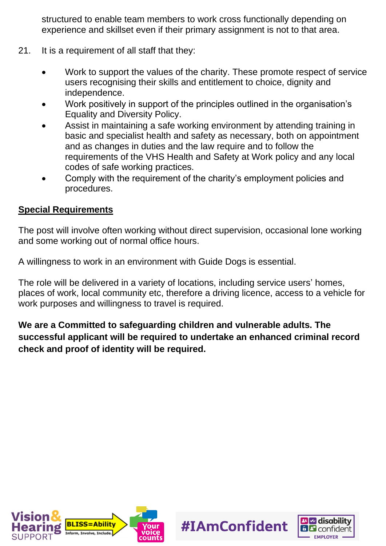structured to enable team members to work cross functionally depending on experience and skillset even if their primary assignment is not to that area.

- 21. It is a requirement of all staff that they:
	- Work to support the values of the charity. These promote respect of service users recognising their skills and entitlement to choice, dignity and independence.
	- Work positively in support of the principles outlined in the organisation's Equality and Diversity Policy.
	- Assist in maintaining a safe working environment by attending training in basic and specialist health and safety as necessary, both on appointment and as changes in duties and the law require and to follow the requirements of the VHS Health and Safety at Work policy and any local codes of safe working practices.
	- Comply with the requirement of the charity's employment policies and procedures.

#### **Special Requirements**

The post will involve often working without direct supervision, occasional lone working and some working out of normal office hours.

A willingness to work in an environment with Guide Dogs is essential.

The role will be delivered in a variety of locations, including service users' homes, places of work, local community etc, therefore a driving licence, access to a vehicle for work purposes and willingness to travel is required.

**We are a Committed to safeguarding children and vulnerable adults. The successful applicant will be required to undertake an enhanced criminal record check and proof of identity will be required.**

#IAmConfident